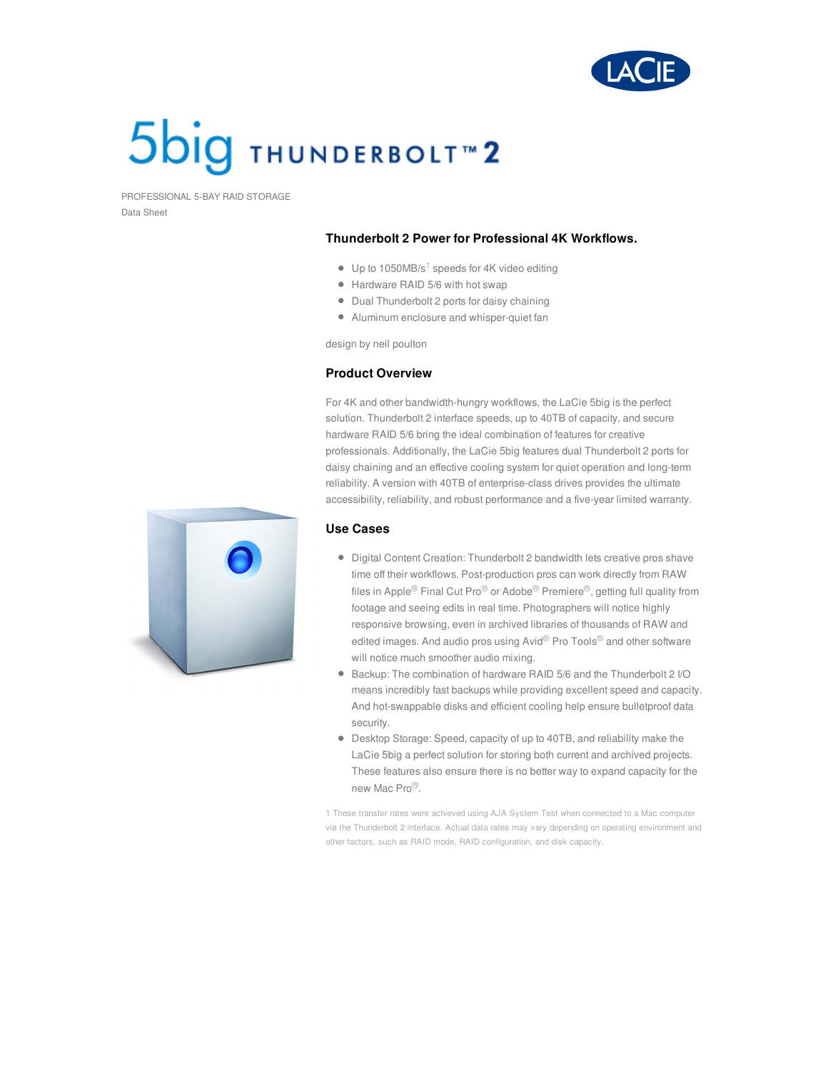

# **5big THUNDERBOLT<sup>™</sup>2**

PROFESSIONAL 5-BAY RAID STORAGE Data Sheet

#### **Thunderbolt 2 Power for Professional 4K Workflows.**

- Up to 1050MB/s $1$  speeds for 4K video editing
- Hardware RAID 5/6 with hot swap
- Dual Thunderbolt 2 ports for daisy chaining
- Aluminum enclosure and whisper-quiet fan

design by neil poulton

#### **Product Overview**

For 4K and other bandwidth-hungry workflows, the LaCie 5big is the perfect solution. Thunderbolt 2 interface speeds, up to 40TB of capacity, and secure hardware RAID 5/6 bring the ideal combination of features for creative professionals. Additionally, the LaCie 5big features dual Thunderbolt 2 ports for daisy chaining and an effective cooling system for quiet operation and long-term reliability. A version with 40TB of enterprise-class drives provides the ultimate accessibility, reliability, and robust performance and a five-year limited warranty.

### **Use Cases**

- Digital Content Creation: Thunderbolt 2 bandwidth lets creative pros shave time off their workflows. Post-production pros can work directly from RAW files in Apple<sup>®</sup> Final Cut Pro<sup>®</sup> or Adobe<sup>®</sup> Premiere<sup>®</sup>, getting full quality from footage and seeing edits in real time. Photographers will notice highly responsive browsing, even in archived libraries of thousands of RAW and edited images. And audio pros using Avid® Pro Tools® and other software will notice much smoother audio mixing.
- Backup: The combination of hardware RAID 5/6 and the Thunderbolt 2 I/O means incredibly fast backups while providing excellent speed and capacity. And hot-swappable disks and efficient cooling help ensure bulletproof data security.
- Desktop Storage: Speed, capacity of up to 40TB, and reliability make the LaCie 5big a perfect solution for storing both current and archived projects. These features also ensure there is no better way to expand capacity for the new Mac Pro®.

1 These transfer rates were achieved using AJA System Test when connected to a Mac computer via the Thunderbolt 2 interface. Actual data rates may vary depending on operating environment and other factors, such as RAID mode, RAID configuration, and disk capacity.